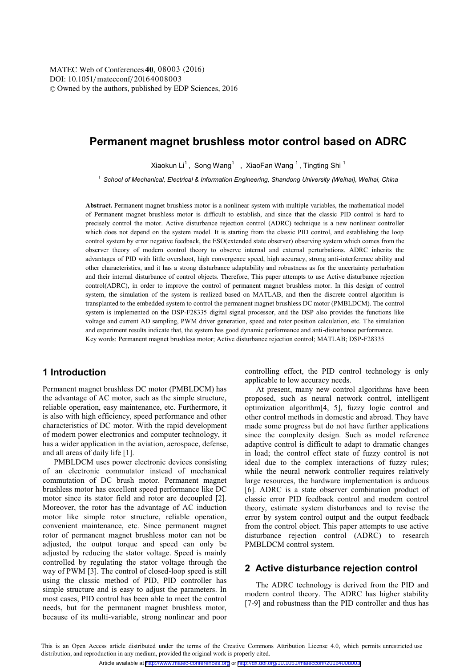# **Permanent magnet brushless motor control based on ADRC**

Xiaokun Li $^1$ , Song Wang $^1\;$  , XiaoFan Wang  $^1$  , Tingting Shi  $^1$ 

*<sup>1</sup> School of Mechanical, Electrical & Information Engineering, Shandong University (Weihai), Weihai, China* 

**Abstract.** Permanent magnet brushless motor is a nonlinear system with multiple variables, the mathematical model of Permanent magnet brushless motor is difficult to establish, and since that the classic PID control is hard to precisely control the motor. Active disturbance rejection control (ADRC) technique is a new nonlinear controller which does not depend on the system model. It is starting from the classic PID control, and establishing the loop control system by error negative feedback, the ESO(extended state observer) observing system which comes from the observer theory of modern control theory to observe internal and external perturbations. ADRC inherits the advantages of PID with little overshoot, high convergence speed, high accuracy, strong anti-interference ability and other characteristics, and it has a strong disturbance adaptability and robustness as for the uncertainty perturbation and their internal disturbance of control objects. Therefore, This paper attempts to use Active disturbance rejection control(ADRC), in order to improve the control of permanent magnet brushless motor. In this design of control system, the simulation of the system is realized based on MATLAB, and then the discrete control algorithm is transplanted to the embedded system to control the permanent magnet brushless DC motor (PMBLDCM). The control system is implemented on the DSP-F28335 digital signal processor, and the DSP also provides the functions like voltage and current AD sampling, PWM driver generation, speed and rotor position calculation, etc. The simulation and experiment results indicate that, the system has good dynamic performance and anti-disturbance performance. Key words: Permanent magnet brushless motor; Active disturbance rejection control; MATLAB; DSP-F28335

# **1 Introduction**

Permanent magnet brushless DC motor (PMBLDCM) has the advantage of AC motor, such as the simple structure, reliable operation, easy maintenance, etc. Furthermore, it is also with high efficiency, speed performance and other characteristics of DC motor. With the rapid development of modern power electronics and computer technology, it has a wider application in the aviation, aerospace, defense, and all areas of daily life [1].

PMBLDCM uses power electronic devices consisting of an electronic commutator instead of mechanical commutation of DC brush motor. Permanent magnet brushless motor has excellent speed performance like DC motor since its stator field and rotor are decoupled [2]. Moreover, the rotor has the advantage of AC induction motor like simple rotor structure, reliable operation, convenient maintenance, etc. Since permanent magnet rotor of permanent magnet brushless motor can not be adjusted, the output torque and speed can only be adjusted by reducing the stator voltage. Speed is mainly controlled by regulating the stator voltage through the way of PWM [3]. The control of closed-loop speed is still using the classic method of PID, PID controller has simple structure and is easy to adjust the parameters. In most cases, PID control has been able to meet the control needs, but for the permanent magnet brushless motor, because of its multi-variable, strong nonlinear and poor controlling effect, the PID control technology is only applicable to low accuracy needs.

At present, many new control algorithms have been proposed, such as neural network control, intelligent optimization algorithm[4, 5], fuzzy logic control and other control methods in domestic and abroad. They have made some progress but do not have further applications since the complexity design. Such as model reference adaptive control is difficult to adapt to dramatic changes in load; the control effect state of fuzzy control is not ideal due to the complex interactions of fuzzy rules; while the neural network controller requires relatively large resources, the hardware implementation is arduous [6]. ADRC is a state observer combination product of classic error PID feedback control and modern control theory, estimate system disturbances and to revise the error by system control output and the output feedback from the control object. This paper attempts to use active disturbance rejection control (ADRC) to research PMBLDCM control system.

### **2 Active disturbance rejection control**

The ADRC technology is derived from the PID and modern control theory. The ADRC has higher stability [7-9] and robustness than the PID controller and thus has

This is an Open Access article distributed under the terms of the Creative Commons Attribution License 4.0, which permits unrestricted use distribution, and reproduction in any medium, provided the original work is properly cited.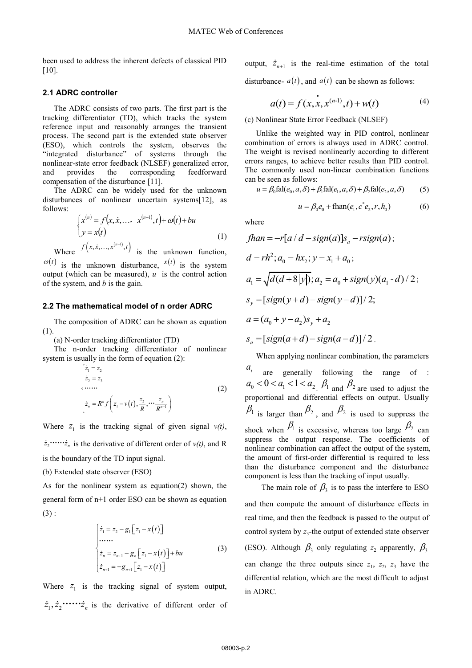been used to address the inherent defects of classical PID  $[10]$ 

#### 2.1 ADRC controller

The ADRC consists of two parts. The first part is the tracking differentiator (TD), which tracks the system reference input and reasonably arranges the transient process. The second part is the extended state observer (ESO), which controls the system, observes the "integrated disturbance" of systems through the nonlinear-state error feedback (NLSEF) generalized error, provides the corresponding feedforward and compensation of the disturbance [11].

The ADRC can be widely used for the unknown disturbances of nonlinear uncertain systems[12], as follows:

$$
\begin{cases}\nx^{(n)} = f(x, \dot{x}, \dots, x^{(n-1)}, t) + \omega(t) + bu \\
y = x(t)\n\end{cases}
$$
\n(1)  
\nWhere  $f(x, \dot{x}, \dots, x^{(n-1)}, t)$  is the unknown function,

 $\varphi(t)$  is the unknown disturbance,  $x(t)$  is the system output (which can be measured),  $u$  is the control action of the system, and  $b$  is the gain.

#### 2.2 The mathematical model of n order ADRC

The composition of ADRC can be shown as equation  $(1).$ 

(a) N-order tracking differentiator (TD)

The n-order tracking differentiator of nonlinear system is usually in the form of equation (2):

$$
\begin{cases}\n\dot{z}_1 = z_2 \\
\dot{z}_2 = z_3\n\end{cases}
$$
\n
$$
\begin{cases}\n\dot{z}_n = R^n f\left(z_1 - v(t), \frac{z_2}{R}, \dots, \frac{z_n}{R^{n-1}}\right)\n\end{cases}
$$
\n(2)

Where  $z_1$  is the tracking signal of given signal  $v(t)$ ,  $\dot{z}_2$ ..... $\dot{z}_n$  is the derivative of different order of  $v(t)$ , and R is the boundary of the TD input signal.

(b) Extended state observer (ESO)

As for the nonlinear system as equation(2) shown, the general form of n+1 order ESO can be shown as equation  $(3)$ :

$$
\begin{cases}\n\dot{z}_1 = z_2 - g_1 \big[ z_1 - x(t) \big] \\
\dots \\
\dot{z}_n = z_{n+1} - g_n \big[ z_1 - x(t) \big] + bu \\
\dot{z}_{n+1} = -g_{n+1} \big[ z_1 - x(t) \big]\n\end{cases}
$$
\n(3)

Where  $z_1$  is the tracking signal of system output,  output,  $\dot{z}_{n+1}$  is the real-time estimation of the total disturbance-  $a(t)$ , and  $a(t)$  can be shown as follows:

$$
a(t) = f(x, x, x^{(n-1)}, t) + w(t)
$$
 (4)

(c) Nonlinear State Error Feedback (NLSEF)

Unlike the weighted way in PID control, nonlinear combination of errors is always used in ADRC control. The weight is revised nonlinearly according to different errors ranges, to achieve better results than PID control. The commonly used non-linear combination functions can be seen as follows:

$$
u = \beta_0 \text{fal}(e_0, a, \delta) + \beta_1 \text{fal}(e_1, a, \delta) + \beta_2 \text{fal}(e_2, a, \delta) \tag{5}
$$

$$
u = \beta_0 e_0 + \text{fhan}(e_1, c^* e_2, r, h_0) \tag{6}
$$

where

$$
fhan = -r[a/d - sign(a)]s_a - rsign(a);
$$
  
\n
$$
d = rh^2; a_0 = hx_2; y = x_1 + a_0;
$$
  
\n
$$
a_1 = \sqrt{d(d+8|y|)}; a_2 = a_0 + sign(y)(a_1 - d)/2;
$$
  
\n
$$
s_y = [sign(y+d) - sign(y-d)]/2;
$$
  
\n
$$
a = (a_0 + y - a_2)s_y + a_2
$$
  
\n
$$
s_a = [sign(a+d) - sign(a-d)]/2.
$$

When applying nonlinear combination, the parameters

are generally following the range of  $a_0 < 0 < a_1 < 1 < a_2$ ,  $\beta_1$  and  $\beta_2$  are used to adjust the proportional and differential effects on output. Usually  $\beta_1$  is larger than  $\beta_2$ , and  $\beta_3$  is used to suppress the shock when  $\beta_1$  is excessive, whereas too large  $\beta_2$  can suppress the output response. The coefficients of nonlinear combination can affect the output of the system, the amount of first-order differential is required to less than the disturbance component and the disturbance component is less than the tracking of input usually.

The main role of  $\beta_3$  is to pass the interfere to ESO and then compute the amount of disturbance effects in real time, and then the feedback is passed to the output of control system by  $z_3$ -the output of extended state observer (ESO). Although  $\beta_3$  only regulating  $z_2$  apparently,  $\beta_3$ can change the three outputs since  $z_1$ ,  $z_2$ ,  $z_3$  have the differential relation, which are the most difficult to adjust in ADRC.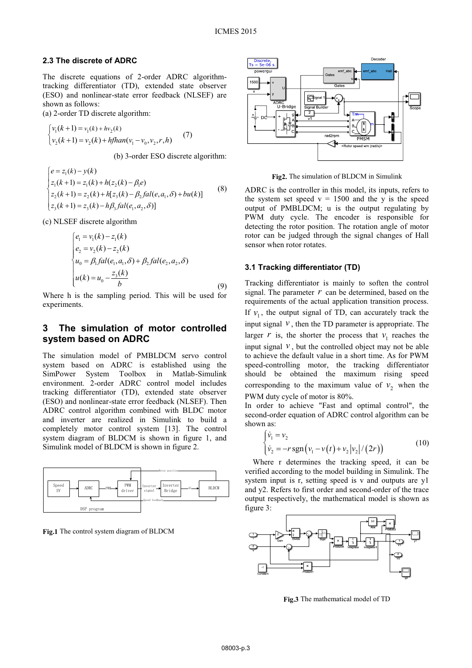#### **2.3 The discrete of ADRC**

The discrete equations of 2-order ADRC algorithmtracking differentiator (TD), extended state observer (ESO) and nonlinear-state error feedback (NLSEF) are shown as follows:

(a) 2-order TD discrete algorithm:

$$
\begin{cases} v_1(k+1) = v_1(k) + hv_2(k) \\ v_2(k+1) = v_2(k) + hfhan(v_1 - v_0, v_2, r, h) \end{cases}
$$
 (7)

(b) 3-order ESO discrete algorithm:

$$
\begin{cases}\ne = z_1(k) - y(k) \\
z_1(k+1) = z_1(k) + h(z_2(k) - \beta_1 e) \\
z_2(k+1) = z_2(k) + h[z_3(k) - \beta_2 fal(e, a_1, \delta) + bu(k)] \\
z_3(k+1) = z_3(k) - h\beta_3 fal(e_1, a_2, \delta)\n\end{cases}
$$
\n(8)

(c) NLSEF discrete algorithm

$$
\begin{cases}\ne_1 = v_1(k) - z_1(k) \\
e_2 = v_2(k) - z_2(k) \\
u_0 = \beta_1 fal(e_1, a_1, \delta) + \beta_2 fal(e_2, a_2, \delta) \\
u(k) = u_0 - \frac{z_3(k)}{b}\n\end{cases}
$$
\n(9)

Where h is the sampling period. This will be used for experiments.

# **3 The simulation of motor controlled system based on ADRC**

The simulation model of PMBLDCM servo control system based on ADRC is established using the SimPower System Toolbox in Matlab-Simulink environment. 2-order ADRC control model includes tracking differentiator (TD), extended state observer (ESO) and nonlinear-state error feedback (NLSEF). Then ADRC control algorithm combined with BLDC motor and inverter are realized in Simulink to build a completely motor control system [13]. The control system diagram of BLDCM is shown in figure 1, and Simulink model of BLDCM is shown in figure 2.



**Fig.1** The control system diagram of BLDCM



**Fig2.** The simulation of BLDCM in Simulink

ADRC is the controller in this model, its inputs, refers to the system set speed  $v = 1500$  and the y is the speed output of PMBLDCM; u is the output regulating by PWM duty cycle. The encoder is responsible for detecting the rotor position. The rotation angle of motor rotor can be judged through the signal changes of Hall sensor when rotor rotates.

#### **3.1 Tracking differentiator (TD)**

Tracking differentiator is mainly to soften the control signal. The parameter  $r$  can be determined, based on the requirements of the actual application transition process. If  $v_1$ , the output signal of TD, can accurately track the input signal  $\nu$ , then the TD parameter is appropriate. The larger  $r$  is, the shorter the process that  $v_1$  reaches the input signal  $\nu$ , but the controlled object may not be able to achieve the default value in a short time. As for PWM speed-controlling motor, the tracking differentiator should be obtained the maximum rising speed corresponding to the maximum value of  $v_2$  when the PWM duty cycle of motor is 80%.

In order to achieve "Fast and optimal control", the second-order equation of ADRC control algorithm can be shown as:

$$
\begin{cases} \dot{v}_1 = v_2 \\ \dot{v}_2 = -r \operatorname{sgn}(v_1 - v(t) + v_2 |v_2|/(2r)) \end{cases}
$$
 (10)

Where r determines the tracking speed, it can be verified according to the model building in Simulink. The system input is r, setting speed is v and outputs are y1 and y2. Refers to first order and second-order of the trace output respectively, the mathematical model is shown as figure 3:



**Fig.3** The mathematical model of TD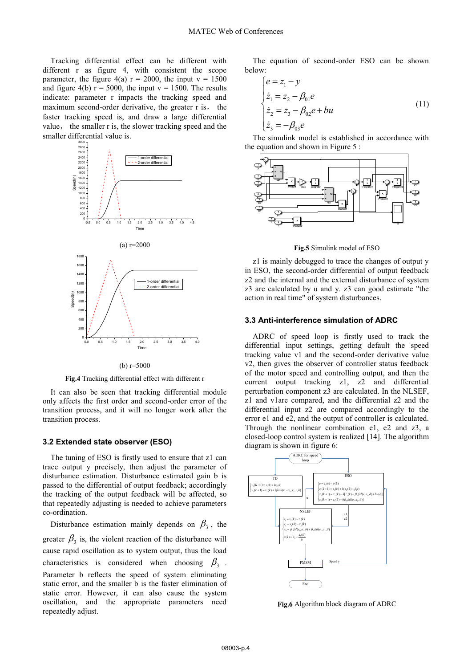Tracking differential effect can be different with different r as figure 4, with consistent the scope parameter, the figure 4(a)  $r = 2000$ , the input  $v = 1500$ and figure 4(b)  $r = 5000$ , the input  $v = 1500$ . The results indicate: parameter r impacts the tracking speed and maximum second-order derivative, the greater  $r$  is, the faster tracking speed is, and draw a large differential value, the smaller r is, the slower tracking speed and the smaller differential value is.



(b) r=5000

**Fig.4** Tracking differential effect with different r

It can also be seen that tracking differential module only affects the first order and second-order error of the transition process, and it will no longer work after the transition process.

#### **3.2 Extended state observer (ESO)**

The tuning of ESO is firstly used to ensure that z1 can trace output y precisely, then adjust the parameter of disturbance estimation. Disturbance estimated gain b is passed to the differential of output feedback; accordingly the tracking of the output feedback will be affected, so that repeatedly adjusting is needed to achieve parameters co-ordination.

Disturbance estimation mainly depends on  $\beta_3$ , the greater  $\beta_3$  is, the violent reaction of the disturbance will cause rapid oscillation as to system output, thus the load characteristics is considered when choosing  $\beta_3$ . Parameter b reflects the speed of system eliminating static error, and the smaller b is the faster elimination of static error. However, it can also cause the system oscillation, and the appropriate parameters need repeatedly adjust.

The equation of second-order ESO can be shown below:

$$
\begin{cases}\n e = z_1 - y \\
 \dot{z}_1 = z_2 - \beta_{01} e \\
 \dot{z}_2 = z_3 - \beta_{02} e + bu \\
 \dot{z}_3 = -\beta_{03} e\n\end{cases}
$$
\n(11)

The simulink model is established in accordance with the equation and shown in Figure 5 :



**Fig.5** Simulink model of ESO

z1 is mainly debugged to trace the changes of output y in ESO, the second-order differential of output feedback z2 and the internal and the external disturbance of system z3 are calculated by u and y. z3 can good estimate "the action in real time" of system disturbances.

#### **3.3 Anti-interference simulation of ADRC**

ADRC of speed loop is firstly used to track the differential input settings, getting default the speed tracking value v1 and the second-order derivative value v2, then gives the observer of controller status feedback of the motor speed and controlling output, and then the current output tracking z1, z2 and differential perturbation component z3 are calculated. In the NLSEF, z1 and v1are compared, and the differential z2 and the differential input z2 are compared accordingly to the error e1 and e2, and the output of controller is calculated. Through the nonlinear combination e1, e2 and z3, a closed-loop control system is realized [14]. The algorithm diagram is shown in figure 6:



**Fig.6** Algorithm block diagram of ADRC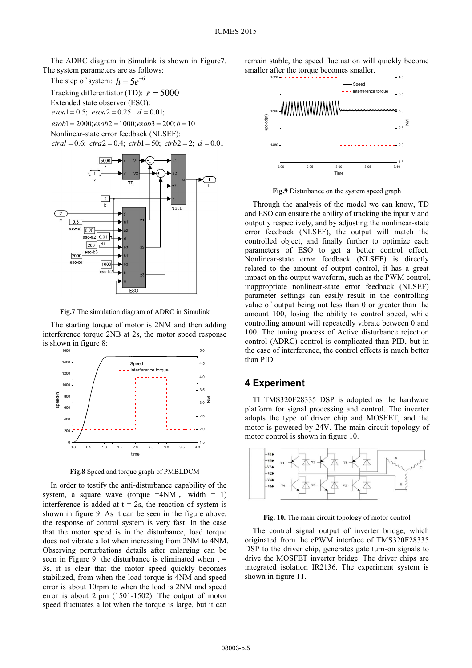The ADRC diagram in Simulink is shown in Figure7. The system parameters are as follows:

The step of system:  $h = 5e^{-6}$ Tracking differentiator (TD):  $r = 5000$ Extended state observer (ESO):  $\cos{ob}1 = 2000; \cos{ob}2 = 1000; \cos{ob}3 = 200; b = 10$  $esoa1 = 0.5$ ;  $esoa2 = 0.25$ :  $d = 0.01$ ; Nonlinear-state error feedback (NLSEF):  $ctrl = 0.6$ ;  $d\tau a2 = 0.4$ ;  $d\tau b1 = 50$ ;  $d\tau b2 = 2$ ;  $d = 0.01$ 



**Fig.7** The simulation diagram of ADRC in Simulink

The starting torque of motor is 2NM and then adding interference torque 2NB at 2s, the motor speed response is shown in figure 8:



**Fig.8** Speed and torque graph of PMBLDCM

In order to testify the anti-disturbance capability of the system, a square wave (torque  $=4NM$ , width = 1) interference is added at  $t = 2s$ , the reaction of system is shown in figure 9. As it can be seen in the figure above, the response of control system is very fast. In the case that the motor speed is in the disturbance, load torque does not vibrate a lot when increasing from 2NM to 4NM. Observing perturbations details after enlarging can be seen in Figure 9: the disturbance is eliminated when  $t =$ 3s, it is clear that the motor speed quickly becomes stabilized, from when the load torque is 4NM and speed error is about 10rpm to when the load is 2NM and speed error is about 2rpm (1501-1502). The output of motor speed fluctuates a lot when the torque is large, but it can

remain stable, the speed fluctuation will quickly become smaller after the torque becomes smaller.



**Fig.9** Disturbance on the system speed graph

Through the analysis of the model we can know, TD and ESO can ensure the ability of tracking the input v and output y respectively, and by adjusting the nonlinear-state error feedback (NLSEF), the output will match the controlled object, and finally further to optimize each parameters of ESO to get a better control effect. Nonlinear-state error feedback (NLSEF) is directly related to the amount of output control, it has a great impact on the output waveform, such as the PWM control, inappropriate nonlinear-state error feedback (NLSEF) parameter settings can easily result in the controlling value of output being not less than 0 or greater than the amount 100, losing the ability to control speed, while controlling amount will repeatedly vibrate between 0 and 100. The tuning process of Active disturbance rejection control (ADRC) control is complicated than PID, but in the case of interference, the control effects is much better than PID.

### **4 Experiment**

TI TMS320F28335 DSP is adopted as the hardware platform for signal processing and control. The inverter adopts the type of driver chip and MOSFET, and the motor is powered by 24V. The main circuit topology of motor control is shown in figure 10.



Fig. 10. The main circuit topology of motor control

The control signal output of inverter bridge, which originated from the ePWM interface of TMS320F28335 DSP to the driver chip, generates gate turn-on signals to drive the MOSFET inverter bridge. The driver chips are integrated isolation IR2136. The experiment system is shown in figure 11.